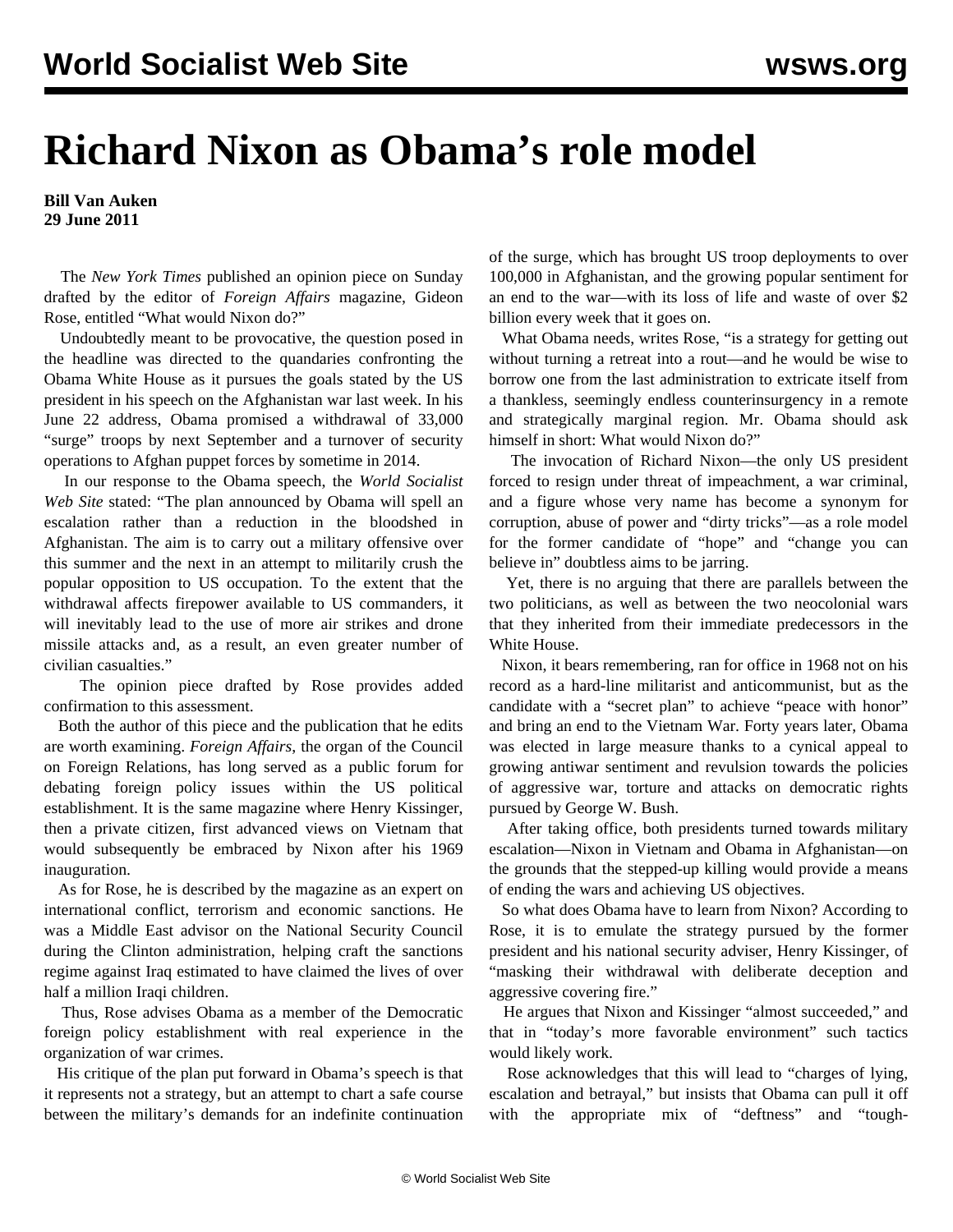## **Richard Nixon as Obama's role model**

## **Bill Van Auken 29 June 2011**

 The *New York Times* published an opinion piece on Sunday drafted by the editor of *Foreign Affairs* magazine, Gideon Rose, entitled "What would Nixon do?"

 Undoubtedly meant to be provocative, the question posed in the headline was directed to the quandaries confronting the Obama White House as it pursues the goals stated by the US president in his speech on the Afghanistan war last week. In his June 22 address, Obama promised a withdrawal of 33,000 "surge" troops by next September and a turnover of security operations to Afghan puppet forces by sometime in 2014.

 In our response to the Obama speech, the *World Socialist Web Site* stated: "The plan announced by Obama will spell an escalation rather than a reduction in the bloodshed in Afghanistan. The aim is to carry out a military offensive over this summer and the next in an attempt to militarily crush the popular opposition to US occupation. To the extent that the withdrawal affects firepower available to US commanders, it will inevitably lead to the use of more air strikes and drone missile attacks and, as a result, an even greater number of civilian casualties."

 The opinion piece drafted by Rose provides added confirmation to this assessment.

 Both the author of this piece and the publication that he edits are worth examining. *Foreign Affairs*, the organ of the Council on Foreign Relations, has long served as a public forum for debating foreign policy issues within the US political establishment. It is the same magazine where Henry Kissinger, then a private citizen, first advanced views on Vietnam that would subsequently be embraced by Nixon after his 1969 inauguration.

 As for Rose, he is described by the magazine as an expert on international conflict, terrorism and economic sanctions. He was a Middle East advisor on the National Security Council during the Clinton administration, helping craft the sanctions regime against Iraq estimated to have claimed the lives of over half a million Iraqi children.

 Thus, Rose advises Obama as a member of the Democratic foreign policy establishment with real experience in the organization of war crimes.

 His critique of the plan put forward in Obama's speech is that it represents not a strategy, but an attempt to chart a safe course between the military's demands for an indefinite continuation of the surge, which has brought US troop deployments to over 100,000 in Afghanistan, and the growing popular sentiment for an end to the war—with its loss of life and waste of over \$2 billion every week that it goes on.

 What Obama needs, writes Rose, "is a strategy for getting out without turning a retreat into a rout—and he would be wise to borrow one from the last administration to extricate itself from a thankless, seemingly endless counterinsurgency in a remote and strategically marginal region. Mr. Obama should ask himself in short: What would Nixon do?"

 The invocation of Richard Nixon—the only US president forced to resign under threat of impeachment, a war criminal, and a figure whose very name has become a synonym for corruption, abuse of power and "dirty tricks"—as a role model for the former candidate of "hope" and "change you can believe in" doubtless aims to be jarring.

 Yet, there is no arguing that there are parallels between the two politicians, as well as between the two neocolonial wars that they inherited from their immediate predecessors in the White House.

 Nixon, it bears remembering, ran for office in 1968 not on his record as a hard-line militarist and anticommunist, but as the candidate with a "secret plan" to achieve "peace with honor" and bring an end to the Vietnam War. Forty years later, Obama was elected in large measure thanks to a cynical appeal to growing antiwar sentiment and revulsion towards the policies of aggressive war, torture and attacks on democratic rights pursued by George W. Bush.

 After taking office, both presidents turned towards military escalation—Nixon in Vietnam and Obama in Afghanistan—on the grounds that the stepped-up killing would provide a means of ending the wars and achieving US objectives.

 So what does Obama have to learn from Nixon? According to Rose, it is to emulate the strategy pursued by the former president and his national security adviser, Henry Kissinger, of "masking their withdrawal with deliberate deception and aggressive covering fire."

 He argues that Nixon and Kissinger "almost succeeded," and that in "today's more favorable environment" such tactics would likely work.

 Rose acknowledges that this will lead to "charges of lying, escalation and betrayal," but insists that Obama can pull it off with the appropriate mix of "deftness" and "tough